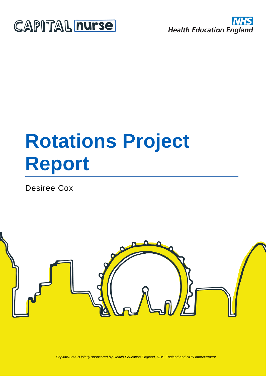



# **Rotations Project Report**

Desiree Cox

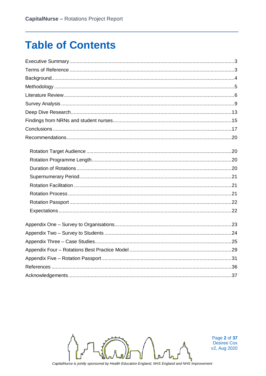### **Table of Contents**



Page 2 of 37 Desiree Cox v2, Aug 2020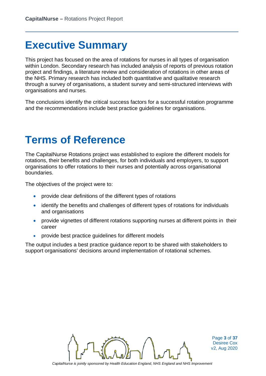### **Executive Summary**

This project has focused on the area of rotations for nurses in all types of organisation within London. Secondary research has included analysis of reports of previous rotation project and findings, a literature review and consideration of rotations in other areas of the NHS. Primary research has included both quantitative and qualitative research through a survey of organisations, a student survey and semi-structured interviews with organisations and nurses.

The conclusions identify the critical success factors for a successful rotation programme and the recommendations include best practice guidelines for organisations.

### **Terms of Reference**

The CapitalNurse Rotations project was established to explore the different models for rotations, their benefits and challenges, for both individuals and employers, to support organisations to offer rotations to their nurses and potentially across organisational boundaries.

The objectives of the project were to:

- provide clear definitions of the different types of rotations
- identify the benefits and challenges of different types of rotations for individuals and organisations
- provide vignettes of different rotations supporting nurses at different points in their career
- provide best practice guidelines for different models

The output includes a best practice guidance report to be shared with stakeholders to support organisations' decisions around implementation of rotational schemes.



Page **3** of **37** Desiree Cox v2, Aug 2020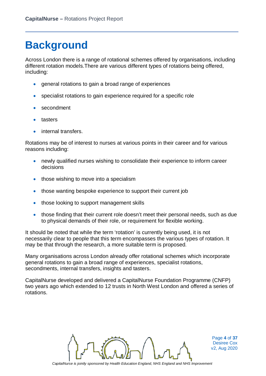### **Background**

Across London there is a range of rotational schemes offered by organisations, including different rotation models.There are various different types of rotations being offered, including:

- general rotations to gain a broad range of experiences
- specialist rotations to gain experience required for a specific role
- secondment
- tasters
- internal transfers.

Rotations may be of interest to nurses at various points in their career and for various reasons including:

- newly qualified nurses wishing to consolidate their experience to inform career decisions
- those wishing to move into a specialism
- those wanting bespoke experience to support their current job
- those looking to support management skills
- those finding that their current role doesn't meet their personal needs, such as due to physical demands of their role, or requirement for flexible working.

It should be noted that while the term 'rotation' is currently being used, it is not necessarily clear to people that this term encompasses the various types of rotation. It may be that through the research, a more suitable term is proposed.

Many organisations across London already offer rotational schemes which incorporate general rotations to gain a broad range of experiences, specialist rotations, secondments, internal transfers, insights and tasters.

CapitalNurse developed and delivered a CapitalNurse Foundation Programme (CNFP) two years ago which extended to 12 trusts in North West London and offered a series of rotations.



Page **4** of **37** Desiree Cox v2, Aug 2020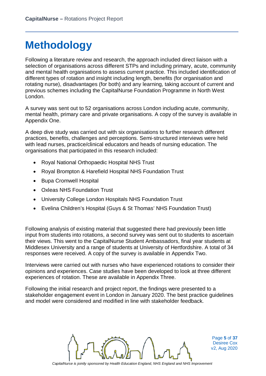# **Methodology**

Following a literature review and research, the approach included direct liaison with a selection of organisations across different STPs and including primary, acute, community and mental health organisations to assess current practice. This included identification of different types of rotation and insight including length, benefits (for organisation and rotating nurse), disadvantages (for both) and any learning, taking account of current and previous schemes including the CapitalNurse Foundation Programme in North West London.

A survey was sent out to 52 organisations across London including acute, community, mental health, primary care and private organisations. A copy of the survey is available in Appendix One.

A deep dive study was carried out with six organisations to further research different practices, benefits, challenges and perceptions. Semi-structured interviews were held with lead nurses, practice/clinical educators and heads of nursing education. The organisations that participated in this research included:

- Royal National Orthopaedic Hospital NHS Trust
- Royal Brompton & Harefield Hospital NHS Foundation Trust
- Bupa Cromwell Hospital
- Oxleas NHS Foundation Trust
- University College London Hospitals NHS Foundation Trust
- Evelina Children's Hospital (Guys & St Thomas' NHS Foundation Trust)

Following analysis of existing material that suggested there had previously been little input from students into rotations, a second survey was sent out to students to ascertain their views. This went to the CapitalNurse Student Ambassadors, final year students at Middlesex University and a range of students at University of Hertfordshire. A total of 34 responses were received. A copy of the survey is available in Appendix Two.

Interviews were carried out with nurses who have experienced rotations to consider their opinions and experiences. Case studies have been developed to look at three different experiences of rotation. These are available in Appendix Three.

Following the initial research and project report, the findings were presented to a stakeholder engagement event in London in January 2020. The best practice guidelines and model were considered and modified in line with stakeholder feedback.



Page **5** of **37** Desiree Cox v2, Aug 2020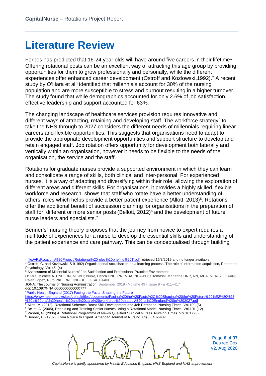### **Literature Review**

Forbes has predicted that [1](#page-5-0)6-24 year olds will have around five careers in their lifetime<sup>1</sup> Offering rotational posts can be an excellent way of attracting this age group by providing opportunities for them to grow professionally and personally, while the different experiences offer enhanced career development (Ostroff and Kozlowski,1992). [2](#page-5-1) A recent study by O'Hara et al<sup>[3](#page-5-2)</sup> identified that millennials account for 30% of the nursing population and are more susceptible to stress and burnout resulting in a higher turnover. The study found that while demographics accounted for only 2.6% of job satisfaction, effective leadership and support accounted for 63%.

The changing landscape of healthcare services provision requires innovative and different ways of attracting, retaining and developing staff. The workforce strategy<sup>4</sup> to take the NHS through to 2027 considers the different needs of millennials requiring linear careers and flexible opportunities. This suggests that organisations need to adapt to provide the appropriate development opportunities and support structure to develop and retain engaged staff. Job rotation offers opportunity for development both laterally and vertically within an organisation, however it needs to be flexible to the needs of the organisation, the service and the staff.

Rotations for graduate nurses provide a supported environment in which they can learn and consolidate a range of skills, both clinical and inter-personal. For experienced nurses, it is a way of adapting and diversifying within their role, allowing the exploration of different areas and different skills. For organisations, it provides a highly skilled, flexible workforce and research shows that staff who rotate have a better understanding of others' roles which helps provide a better patient experience (Allott, 2013)<sup>[5](#page-5-4)</sup>. Rotations offer the additional benefit of succession planning for organisations in the preparation of staff for different or more senior posts (Bellott,  $2012$ )<sup>[6](#page-5-5)</sup> and the development of future nurse leaders and specialists[.7](#page-5-6)

Benner's<sup>8</sup> nursing theory proposes that the journey from novice to expert requires a multitude of experiences for a nurse to develop the essential skills and understanding of the patient experience and care pathway. This can be conceptualised through building

 $\overline{a}$ 

<span id="page-5-5"></span><sup>6</sup> Bellot, A. (2005), Recruiting and Training Senior Nurses Using a Rotational Model. Nursing Times, Vol 101 (12)

<span id="page-5-7"></span><sup>&</sup>lt;sup>8</sup> Benner, P. (1982). From Novice to Expert. American Journal of Nursing, 82(3), 402-407



Page **6** of **37** Desiree Cox v2, Aug 2020

<span id="page-5-0"></span><sup>1</sup> file:///F:/Rotations%20Project/Rotational%20roles%20briefing%20T.pdf retrieved 16/8/2019 and no longer available

<span id="page-5-1"></span><sup>&</sup>lt;sup>2</sup> Ostroff, C. and Kozlowski, S 91992) Organisational socialisation as a learning process: The role of information acquisition, Personnel Psychology, Vol.45, (4)

<span id="page-5-2"></span><sup>3</sup> Assessment of Millennial Nurses' Job Satisfaction and Professional Practice Environment

O'Hara, Michele A. DNP, RN, NE-BC; Burke, Debra DNP, RN, MBA, NEA-BC; Ditomassi, Marianne DNP, RN, MBA, NEA-BC, FAAN; Palan Lopez, Ruth PhD, RN, GNP-BC, FGSA, FAAN

JONA: The Journal of Nursing Administration: [September 2019 -](https://journals.lww.com/jonajournal/toc/2019/09000) Volume 49 - Issue 9 - p 411-417 doi: 10.1097/NNA.0000000000000777

<sup>&</sup>lt;sup>4</sup> Public Health England (2017) Facing the Facts, Shaping the Future:

<span id="page-5-3"></span>[https://www.hee.nhs.uk/sites/default/files/documents/Facing%20the%20Facts%2C%20Shaping%20the%20Future%20%E2%80%93](https://www.hee.nhs.uk/sites/default/files/documents/Facing%20the%20Facts%2C%20Shaping%20the%20Future%20%E2%80%93%20a%20draft%20health%20and%20care%20workforce%20strategy%20for%20England%20to%202027.pdf) [%20a%20draft%20health%20and%20care%20workforce%20strategy%20for%20England%20to%202027.pdf](https://www.hee.nhs.uk/sites/default/files/documents/Facing%20the%20Facts%2C%20Shaping%20the%20Future%20%E2%80%93%20a%20draft%20health%20and%20care%20workforce%20strategy%20for%20England%20to%202027.pdf)

<span id="page-5-4"></span><sup>5</sup> Allott, M. (2013), Rotational Schemes Boost Skill Development and Job Retention. Nursing Times, Vol 109 (5)

<span id="page-5-6"></span><sup>7</sup> Varden, G. (2006) A Rotational Programme of Newly Qualified Surgical Nurses. Nursing Times. Vol 101 (23)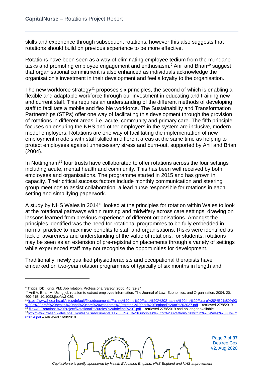skills and experience through subsequent rotations, however this also suggests that rotations should build on previous experience to be more effective.

Rotations have been seen as a way of eliminating employee tedium from the mundane tasks and promoting employee engagement and enthusiasm.<sup>[9](#page-6-0)</sup> Anil and Brian<sup>[10](#page-6-1)</sup> suggest that organisational commitment is also enhanced as individuals acknowledge the organisation's investment in their development and feel a loyalty to the organisation.

The new workforce strategy<sup>11</sup> proposes six principles, the second of which is enabling a flexible and adaptable workforce through our investment in educating and training new and current staff. This requires an understanding of the different methods of developing staff to facilitate a mobile and flexible workforce. The Sustainability and Transformation Partnerships (STPs) offer one way of facilitating this development through the provision of rotations in different areas, i.e. acute, community and primary care. The fifth principle focuses on ensuring the NHS and other employers in the system are inclusive, modern model employers. Rotations are one way of facilitating the implementation of new employment models with staff skilled in different areas at the same time as helping to protect employees against unnecessary stress and burn-out, supported by Anil and Brian (2004).

In Nottingham<sup>[12](#page-6-3)</sup> four trusts have collaborated to offer rotations across the four settings including acute, mental health and community. This has been well received by both employees and organisations. The programme started in 2015 and has grown in capacity. Their critical success factors include monthly communication and steering group meetings to assist collaboration, a lead nurse responsible for rotations in each setting and simplifying paperwork.

A study by NHS Wales in 2014[13](#page-6-4) looked at the principles for rotation within Wales to look at the rotational pathways within nursing and midwifery across care settings, drawing on lessons learned from previous experience of different organisations. Amongst the principles identified was the need for rotational programmes to be fully embedded in normal practice to maximise benefits to staff and organisations. Risks were identified as lack of awareness and understanding of the value of rotations: for students, rotations may be seen as an extension of pre-registration placements through a variety of settings while experienced staff may not recognise the opportunities for development.

Traditionally, newly qualified physiotherapists and occupational therapists have embarked on two-year rotation programmes of typically of six months in length and

<span id="page-6-3"></span><span id="page-6-2"></span>[1https://www.hee.nhs.uk/sites/default/files/documents/Facing%20the%20Facts%2C%20Shaping%20the%20Future%20%E2%80%93](https://www.hee.nhs.uk/sites/default/files/documents/Facing%20the%20Facts%2C%20Shaping%20the%20Future%20%E2%80%93%20a%20draft%20health%20and%20care%20workforce%20strategy%20for%20England%20to%202027.pdf) [%20a%20draft%20health%20and%20care%20workforce%20strategy%20for%20England%20to%202027.pdf](https://www.hee.nhs.uk/sites/default/files/documents/Facing%20the%20Facts%2C%20Shaping%20the%20Future%20%E2%80%93%20a%20draft%20health%20and%20care%20workforce%20strategy%20for%20England%20to%202027.pdf) – retrieved 27/8/2019 file:///F:/Rotations%20Project/Rotational%20roles%20briefing%20T.pdf – retrieved 27/8/2019 and no longer available [3http://www.nwssp.wales.nhs.uk/sitesplus/documents/1178/FINAL%20Principles%20for%20Rotation%20within%20Wales%20July%2](http://www.nwssp.wales.nhs.uk/sitesplus/documents/1178/FINAL%20Principles%20for%20Rotation%20within%20Wales%20July%202014.pdf)

 $\overline{a}$ 



Page **7** of **37** Desiree Cox v2, Aug 2020

<span id="page-6-0"></span><sup>&</sup>lt;sup>9</sup> Triggs, DD, King, PM: Job rotation. Professional Safety, 2000, 45: 32-34.

<span id="page-6-1"></span><sup>10</sup> Anil A, Brian M: Using job rotation to extract employee information. The Journal of Law, Economics, and Organization. 2004, 20: 400-415. 10.1093/jleo/ewh039.

<span id="page-6-4"></span>[<sup>02014.</sup>pdf](http://www.nwssp.wales.nhs.uk/sitesplus/documents/1178/FINAL%20Principles%20for%20Rotation%20within%20Wales%20July%202014.pdf) – retrieved 16/8/2019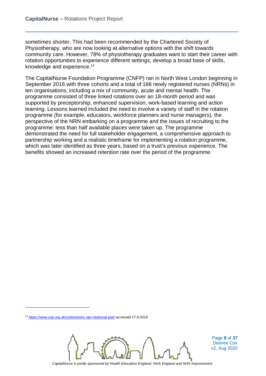sometimes shorter. This had been recommended by the Chartered Society of Physiotherapy, who are now looking at alternative options with the shift towards community care. However, 78% of physiotherapy graduates want to start their career with rotation opportunities to experience different settings, develop a broad base of skills, knowledge and experience. [14](#page-7-0)

The CapitalNurse Foundation Programme (CNFP) ran in North West London beginning in September 2016 with three cohorts and a total of 166 newly registered nurses (NRNs) in ten organisations, including a mix of community, acute and mental health. The programme consisted of three linked rotations over an 18-month period and was supported by preceptorship, enhanced supervision, work-based learning and action learning. Lessons learned included the need to involve a variety of staff in the rotation programme (for example, educators, workforce planners and nurse managers), the perspective of the NRN embarking on a programme and the issues of recruiting to the programme: less than half available places were taken up. The programme demonstrated the need for full stakeholder engagement, a comprehensive approach to partnership working and a realistic timeframe for implementing a rotation programme, which was later identified as three years, based on a trust's previous experience. The benefits showed an increased retention rate over the period of the programme.

 $\overline{a}$ 



Page **8** of **37** Desiree Cox v2, Aug 2020

<span id="page-7-0"></span><sup>14</sup> <https://www.csp.org.uk/content/why-opt-rotational-post> accessed 27.8.2019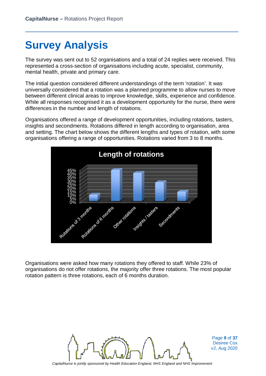# **Survey Analysis**

The survey was sent out to 52 organisations and a total of 24 replies were received. This represented a cross-section of organisations including acute, specialist, community, mental health, private and primary care.

The initial question considered different understandings of the term 'rotation'. It was universally considered that a rotation was a planned programme to allow nurses to move between different clinical areas to improve knowledge, skills, experience and confidence. While all responses recognised it as a development opportunity for the nurse, there were differences in the number and length of rotations.

Organisations offered a range of development opportunities, including rotations, tasters, insights and secondments. Rotations differed in length according to organisation, area and setting. The chart below shows the different lengths and types of rotation, with some organisations offering a range of opportunities. Rotations varied from 3 to 8 months.



Organisations were asked how many rotations they offered to staff. While 23% of organisations do not offer rotations, the majority offer three rotations. The most popular rotation pattern is three rotations, each of 6 months duration.



Page **9** of **37** Desiree Cox v2, Aug 2020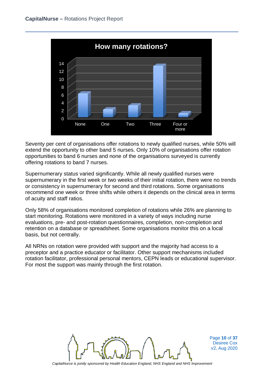

Seventy per cent of organisations offer rotations to newly qualified nurses, while 50% will extend the opportunity to other band 5 nurses. Only 10% of organisations offer rotation opportunities to band 6 nurses and none of the organisations surveyed is currently offering rotations to band 7 nurses.

Supernumerary status varied significantly. While all newly qualified nurses were supernumerary in the first week or two weeks of their initial rotation, there were no trends or consistency in supernumerary for second and third rotations. Some organisations recommend one week or three shifts while others it depends on the clinical area in terms of acuity and staff ratios.

Only 58% of organisations monitored completion of rotations while 26% are planning to start monitoring. Rotations were monitored in a variety of ways including nurse evaluations, pre- and post-rotation questionnaires, completion, non-completion and retention on a database or spreadsheet. Some organisations monitor this on a local basis, but not centrally.

All NRNs on rotation were provided with support and the majority had access to a preceptor and a practice educator or facilitator. Other support mechanisms included rotation facilitator, professional personal mentors, CEPN leads or educational supervisor. For most the support was mainly through the first rotation.



Page **10** of **37** Desiree Cox v2, Aug 2020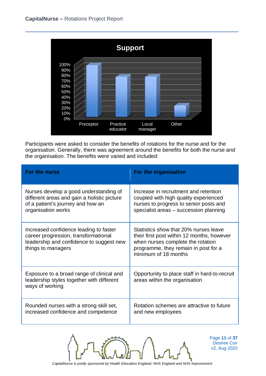

Participants were asked to consider the benefits of rotations for the nurse and for the organisation. Generally, there was agreement around the benefits for both the nurse and the organisation. The benefits were varied and included:

| For the nurse                                                                                                                                    | For the organisation                                                                                                                                                                     |
|--------------------------------------------------------------------------------------------------------------------------------------------------|------------------------------------------------------------------------------------------------------------------------------------------------------------------------------------------|
| Nurses develop a good understanding of<br>different areas and gain a holistic picture<br>of a patient's journey and how an<br>organisation works | Increase in recruitment and retention<br>coupled with high quality experienced<br>nurses to progress to senior posts and<br>specialist areas - succession planning                       |
| Increased confidence leading to faster<br>career progression, transformational<br>leadership and confidence to suggest new<br>things to managers | Statistics show that 20% nurses leave<br>their first post within 12 months, however<br>when nurses complete the rotation<br>programme, they remain in post for a<br>minimum of 18 months |
| Exposure to a broad range of clinical and<br>leadership styles together with different<br>ways of working                                        | Opportunity to place staff in hard-to-recruit<br>areas within the organisation                                                                                                           |
| Rounded nurses with a strong skill set,<br>increased confidence and competence                                                                   | Rotation schemes are attractive to future<br>and new employees                                                                                                                           |



Page **11** of **37** Desiree Cox v2, Aug 2020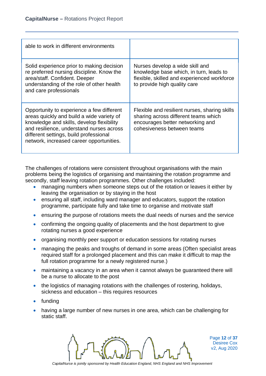| able to work in different environments                                                                                                                                                                                                                                |                                                                                                                                                           |
|-----------------------------------------------------------------------------------------------------------------------------------------------------------------------------------------------------------------------------------------------------------------------|-----------------------------------------------------------------------------------------------------------------------------------------------------------|
| Solid experience prior to making decision<br>re preferred nursing discipline. Know the<br>area/staff. Confident. Deeper<br>understanding of the role of other health<br>and care professionals                                                                        | Nurses develop a wide skill and<br>knowledge base which, in turn, leads to<br>flexible, skilled and experienced workforce<br>to provide high quality care |
| Opportunity to experience a few different<br>areas quickly and build a wide variety of<br>knowledge and skills, develop flexibility<br>and resilience, understand nurses across<br>different settings, build professional<br>network, increased career opportunities. | Flexible and resilient nurses, sharing skills<br>sharing across different teams which<br>encourages better networking and<br>cohesiveness between teams   |

The challenges of rotations were consistent throughout organisations with the main problems being the logistics of organising and maintaining the rotation programme and secondly, staff leaving rotation programmes. Other challenges included:

- managing numbers when someone steps out of the rotation or leaves it either by leaving the organisation or by staying in the host
- ensuring all staff, including ward manager and educators, support the rotation programme, participate fully and take time to organise and motivate staff
- ensuring the purpose of rotations meets the dual needs of nurses and the service
- confirming the ongoing quality of placements and the host department to give rotating nurses a good experience
- organising monthly peer support or education sessions for rotating nurses
- managing the peaks and troughs of demand in some areas (Often specialist areas required staff for a prolonged placement and this can make it difficult to map the full rotation programme for a newly registered nurse.)
- maintaining a vacancy in an area when it cannot always be guaranteed there will be a nurse to allocate to the post
- the logistics of managing rotations with the challenges of rostering, holidays, sickness and education – this requires resources
- funding
- having a large number of new nurses in one area, which can be challenging for static staff.



Page **12** of **37** Desiree Cox v2, Aug 2020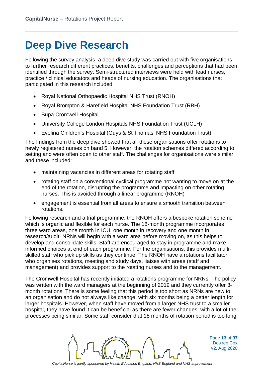### **Deep Dive Research**

Following the survey analysis, a deep dive study was carried out with five organisations to further research different practices, benefits, challenges and perceptions that had been identified through the survey. Semi-structured interviews were held with lead nurses, practice / clinical educators and heads of nursing education. The organisations that participated in this research included:

- Royal National Orthopaedic Hospital NHS Trust (RNOH)
- Royal Brompton & Harefield Hospital NHS Foundation Trust (RBH)
- Bupa Cromwell Hospital
- University College London Hospitals NHS Foundation Trust (UCLH)
- Evelina Children's Hospital (Guys & St Thomas' NHS Foundation Trust)

The findings from the deep dive showed that all these organisations offer rotations to newly registered nurses on band 5. However, the rotation schemes differed according to setting and were often open to other staff. The challenges for organisations were similar and these included:

- maintaining vacancies in different areas for rotating staff
- rotating staff on a conventional cyclical programme not wanting to move on at the end of the rotation, disrupting the programme and impacting on other rotating nurses. This is avoided through a linear programme (RNOH)
- engagement is essential from all areas to ensure a smooth transition between rotations.

Following research and a trial programme, the RNOH offers a bespoke rotation scheme which is organic and flexible for each nurse. The 18-month programme incorporates three ward areas, one month in ICU, one month in recovery and one month in research/audit. NRNs will begin with a ward area before moving on, as this helps to develop and consolidate skills. Staff are encouraged to stay in programme and make informed choices at end of each programme. For the organisations, this provides multiskilled staff who pick up skills as they continue. The RNOH have a rotations facilitator who organises rotations, meeting and study days, liaises with areas (staff and management) and provides support to the rotating nurses and to the management.

The Cromwell Hospital has recently initiated a rotations programme for NRNs. The policy was written with the ward managers at the beginning of 2019 and they currently offer 3 month rotations. There is some feeling that this period is too short as NRNs are new to an organisation and do not always like change, with six months being a better length for larger hospitals. However, when staff have moved from a larger NHS trust to a smaller hospital, they have found it can be beneficial as there are fewer changes, with a lot of the processes being similar. Some staff consider that 18 months of rotation period is too long



Page **13** of **37** Desiree Cox v2, Aug 2020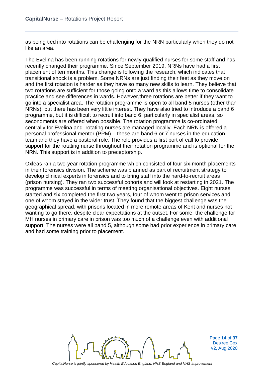as being tied into rotations can be challenging for the NRN particularly when they do not like an area.

The Evelina has been running rotations for newly qualified nurses for some staff and has recently changed their programme. Since September 2019, NRNs have had a first placement of ten months. This change is following the research, which indicates that transitional shock is a problem. Some NRNs are just finding their feet as they move on and the first rotation is harder as they have so many new skills to learn. They believe that two rotations are sufficient for those going onto a ward as this allows time to consolidate practice and see differences in wards. However,three rotations are better if they want to go into a specialist area. The rotation programme is open to all band 5 nurses (other than NRNs), but there has been very little interest. They have also tried to introduce a band 6 programme, but it is difficult to recruit into band 6, particularly in specialist areas, so secondments are offered when possible. The rotation programme is co-ordinated centrally for Evelina and rotating nurses are managed locally. Each NRN is offered a personal professional mentor (PPM) – these are band 6 or 7 nurses in the education team and they have a pastoral role. The role provides a first port of call to provide support for the rotating nurse throughout their rotation programme and is optional for the NRN. This support is in addition to preceptorship.

Oxleas ran a two-year rotation programme which consisted of four six-month placements in their forensics division. The scheme was planned as part of recruitment strategy to develop clinical experts in forensics and to bring staff into the hard-to-recruit areas (prison nursing). They ran two successful cohorts and will look at restarting in 2021. The programme was successful in terms of meeting organisational objectives. Eight nurses started and six completed the first two years, four of whom went to prison services and one of whom stayed in the wider trust. They found that the biggest challenge was the geographical spread, with prisons located in more remote areas of Kent and nurses not wanting to go there, despite clear expectations at the outset. For some, the challenge for MH nurses in primary care in prison was too much of a challenge even with additional support. The nurses were all band 5, although some had prior experience in primary care and had some training prior to placement.



Page **14** of **37** Desiree Cox v2, Aug 2020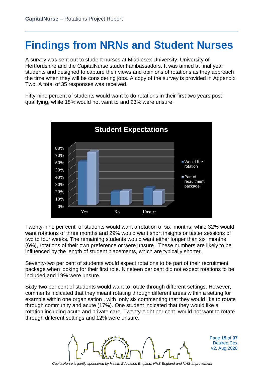### **Findings from NRNs and Student Nurses**

A survey was sent out to student nurses at Middlesex University, University of Hertfordshire and the CapitalNurse student ambassadors. It was aimed at final year students and designed to capture their views and opinions of rotations as they approach the time when they will be considering jobs. A copy of the survey is provided in Appendix Two. A total of 35 responses was received.

Fifty-nine percent of students would want to do rotations in their first two years postqualifying, while 18% would not want to and 23% were unsure.



Twenty-nine per cent of students would want a rotation of six months, while 32% would want rotations of three months and 29% would want short insights or taster sessions of two to four weeks. The remaining students would want either longer than six months (6%), rotations of their own preference or were unsure . These numbers are likely to be influenced by the length of student placements, which are typically shorter.

Seventy-two per cent of students would expect rotations to be part of their recruitment package when looking for their first role. Nineteen per cent did not expect rotations to be included and 19% were unsure.

Sixty-two per cent of students would want to rotate through different settings. However, comments indicated that they meant rotating through different areas within a setting for example within one organisation , with only six commenting that they would like to rotate through community and acute (17%). One student indicated that they would like a rotation including acute and private care. Twenty-eight per cent would not want to rotate through different settings and 12% were unsure.



Page **15** of **37** Desiree Cox v2, Aug 2020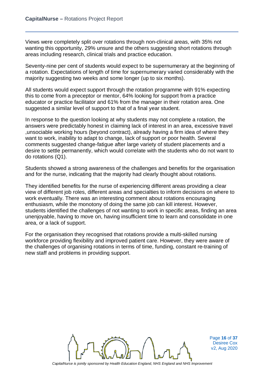Views were completely split over rotations through non-clinical areas, with 35% not wanting this opportunity, 29% unsure and the others suggesting short rotations through areas including research, clinical trials and practice education.

Seventy-nine per cent of students would expect to be supernumerary at the beginning of a rotation. Expectations of length of time for supernumerary varied considerably with the majority suggesting two weeks and some longer (up to six months).

All students would expect support through the rotation programme with 91% expecting this to come from a preceptor or mentor, 64% looking for support from a practice educator or practice facilitator and 61% from the manager in their rotation area. One suggested a similar level of support to that of a final year student.

In response to the question looking at why students may not complete a rotation, the answers were predictably honest in claiming lack of interest in an area, excessive travel ,unsociable working hours (beyond contract), already having a firm idea of where they want to work, inability to adapt to change, lack of support or poor health. Several comments suggested change-fatigue after large variety of student placements and a desire to settle permanently, which would correlate with the students who do not want to do rotations (Q1).

Students showed a strong awareness of the challenges and benefits for the organisation and for the nurse, indicating that the majority had clearly thought about rotations.

They identified benefits for the nurse of experiencing different areas providing a clear view of different job roles, different areas and specialties to inform decisions on where to work eventually. There was an interesting comment about rotations encouraging enthusiasm, while the monotony of doing the same job can kill interest. However, students identified the challenges of not wanting to work in specific areas, finding an area unenjoyable, having to move on, having insufficient time to learn and consolidate in one area, or a lack of support.

For the organisation they recognised that rotations provide a multi-skilled nursing workforce providing flexibility and improved patient care. However, they were aware of the challenges of organising rotations in terms of time, funding, constant re-training of new staff and problems in providing support.



Page **16** of **37** Desiree Cox v2, Aug 2020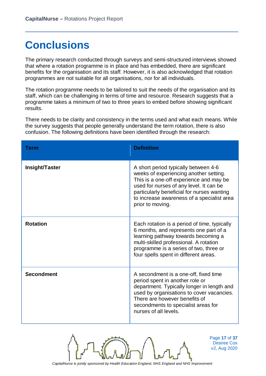# **Conclusions**

The primary research conducted through surveys and semi-structured interviews showed that where a rotation programme is in place and has embedded, there are significant benefits for the organisation and its staff. However, it is also acknowledged that rotation programmes are not suitable for all organisations, nor for all individuals.

The rotation programme needs to be tailored to suit the needs of the organisation and its staff, which can be challenging in terms of time and resource. Research suggests that a programme takes a minimum of two to three years to embed before showing significant results.

There needs to be clarity and consistency in the terms used and what each means. While the survey suggests that people generally understand the term rotation, there is also confusion. The following definitions have been identified through the research:

| Term              | <b>Definition</b>                                                                                                                                                                                                                                                                    |
|-------------------|--------------------------------------------------------------------------------------------------------------------------------------------------------------------------------------------------------------------------------------------------------------------------------------|
| Insight/Taster    | A short period typically between 4-6<br>weeks of experiencing another setting.<br>This is a one-off experience and may be<br>used for nurses of any level. It can be<br>particularly beneficial for nurses wanting<br>to increase awareness of a specialist area<br>prior to moving. |
| <b>Rotation</b>   | Each rotation is a period of time, typically<br>6 months, and represents one part of a<br>learning pathway towards becoming a<br>multi-skilled professional. A rotation<br>programme is a series of two, three or<br>four spells spent in different areas.                           |
| <b>Secondment</b> | A secondment is a one-off, fixed time<br>period spent in another role or<br>department. Typically longer in length and<br>used by organisations to cover vacancies.<br>There are however benefits of<br>secondments to specialist areas for<br>nurses of all levels.                 |



Page **17** of **37** Desiree Cox v2, Aug 2020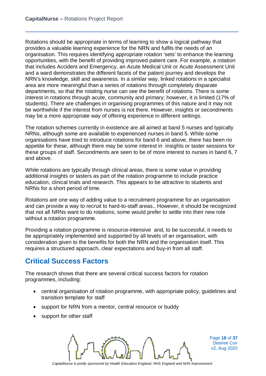Rotations should be appropriate in terms of learning to show a logical pathway that provides a valuable learning experience for the NRN and fulfils the needs of an organisation. This requires identifying appropriate rotation 'sets' to enhance the learning opportunities, with the benefit of providing improved patient care. For example, a rotation that includes Accident and Emergency, an Acute Medical Unit or Acute Assessment Unit and a ward demonstrates the different facets of the patient journey and develops the NRN's knowledge, skill and awareness. In a similar way, linked rotations in a specialist area are more meaningful than a series of rotations through completely disparate departments, so that the rotating nurse can see the benefit of rotations. There is some interest in rotations through acute, community and primary; however, it is limited (17% of students). There are challenges in organising programmes of this nature and it may not be worthwhile if the interest from nurses is not there. However, insights or secondments may be a more appropriate way of offering experience in different settings.

The rotation schemes currently in existence are all aimed at band 5 nurses and typically NRNs, although some are available to experienced nurses in band 5. While some organisations have tried to introduce rotations for band 6 and above, there has been no appetite for these, although there may be some interest in insights or taster sessions for these groups of staff. Secondments are seen to be of more interest to nurses in band 6, 7 and above.

While rotations are typically through clinical areas, there is some value in providing additional insights or tasters as part of the rotation programme to include practice education, clinical trials and research. This appears to be attractive to students and NRNs for a short period of time.

Rotations are one way of adding value to a recruitment programme for an organisation and can provide a way to recruit to hard-to-staff areas., However, it should be recognized that not all NRNs want to do rotations; some would prefer to settle into their new role without a rotation programme.

Providing a rotation programme is resource-intensive and, to be successful, it needs to be appropriately implemented and supported by all levels of an organisation, with consideration given to the benefits for both the NRN and the organisation itself. This requires a structured approach, clear expectations and buy-in from all staff.

### **Critical Success Factors**

The research shows that there are several critical success factors for rotation programmes, including:

- central organisation of rotation programme, with appropriate policy, guidelines and transition template for staff
- support for NRN from a mentor, central resource or buddy
- support for other staff



Page **18** of **37** Desiree Cox v2, Aug 2020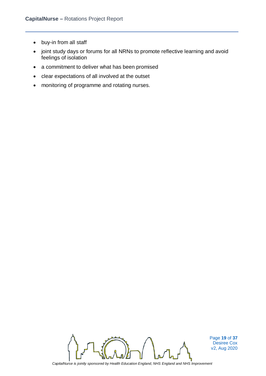- buy-in from all staff
- joint study days or forums for all NRNs to promote reflective learning and avoid feelings of isolation
- a commitment to deliver what has been promised
- clear expectations of all involved at the outset
- monitoring of programme and rotating nurses.



Page **19** of **37** Desiree Cox v2, Aug 2020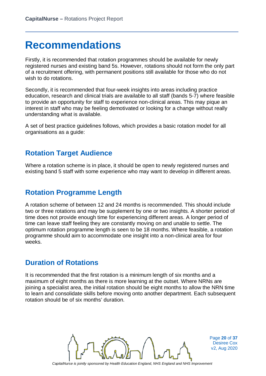### **Recommendations**

Firstly, it is recommended that rotation programmes should be available for newly registered nurses and existing band 5s. However, rotations should not form the only part of a recruitment offering, with permanent positions still available for those who do not wish to do rotations.

Secondly, it is recommended that four-week insights into areas including practice education, research and clinical trials are available to all staff (bands 5-7) where feasible to provide an opportunity for staff to experience non-clinical areas. This may pique an interest in staff who may be feeling demotivated or looking for a change without really understanding what is available.

A set of best practice guidelines follows, which provides a basic rotation model for all organisations as a guide:

#### **Rotation Target Audience**

Where a rotation scheme is in place, it should be open to newly registered nurses and existing band 5 staff with some experience who may want to develop in different areas.

#### **Rotation Programme Length**

A rotation scheme of between 12 and 24 months is recommended. This should include two or three rotations and may be supplement by one or two insights. A shorter period of time does not provide enough time for experiencing different areas. A longer period of time can leave staff feeling they are constantly moving on and unable to settle. The optimum rotation programme length is seen to be 18 months. Where feasible, a rotation programme should aim to accommodate one insight into a non-clinical area for four weeks.

#### **Duration of Rotations**

It is recommended that the first rotation is a minimum length of six months and a maximum of eight months as there is more learning at the outset. Where NRNs are joining a specialist area, the initial rotation should be eight months to allow the NRN time to learn and consolidate skills before moving onto another department. Each subsequent rotation should be of six months' duration.



Page **20** of **37** Desiree Cox v2, Aug 2020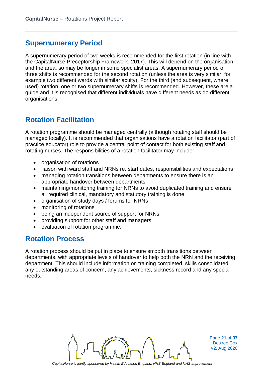#### **Supernumerary Period**

A supernumerary period of two weeks is recommended for the first rotation (in line with the CapitalNurse Preceptorship Framework, 2017). This will depend on the organisation and the area, so may be longer in some specialist areas. A supernumerary period of three shifts is recommended for the second rotation (unless the area is very similar, for example two different wards with similar acuity). For the third (and subsequent, where used) rotation, one or two supernumerary shifts is recommended. However, these are a guide and it is recognised that different individuals have different needs as do different organisations.

### **Rotation Facilitation**

A rotation programme should be managed centrally (although rotating staff should be managed locally). It is recommended that organisations have a rotation facilitator (part of practice educator) role to provide a central point of contact for both existing staff and rotating nurses. The responsibilities of a rotation facilitator may include:

- organisation of rotations
- liaison with ward staff and NRNs re. start dates, responsibilities and expectations
- managing rotation transitions between departments to ensure there is an appropriate handover between departments
- maintaining/monitoring training for NRNs to avoid duplicated training and ensure all required clinical, mandatory and statutory training is done
- organisation of study days / forums for NRNs
- monitoring of rotations
- being an independent source of support for NRNs
- providing support for other staff and managers
- evaluation of rotation programme.

#### **Rotation Process**

A rotation process should be put in place to ensure smooth transitions between departments, with appropriate levels of handover to help both the NRN and the receiving department. This should include information on training completed, skills consolidated, any outstanding areas of concern, any achievements, sickness record and any special needs.



Page **21** of **37** Desiree Cox v2, Aug 2020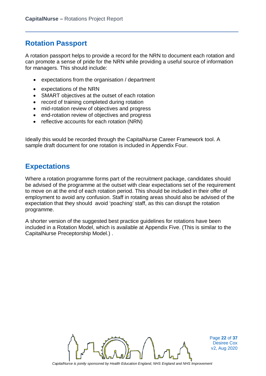### **Rotation Passport**

A rotation passport helps to provide a record for the NRN to document each rotation and can promote a sense of pride for the NRN while providing a useful source of information for managers. This should include:

- expectations from the organisation / department
- expectations of the NRN
- SMART objectives at the outset of each rotation
- record of training completed during rotation
- mid-rotation review of objectives and progress
- end-rotation review of objectives and progress
- reflective accounts for each rotation (NRN)

Ideally this would be recorded through the CapitalNurse Career Framework tool. A sample draft document for one rotation is included in Appendix Four.

#### **Expectations**

Where a rotation programme forms part of the recruitment package, candidates should be advised of the programme at the outset with clear expectations set of the requirement to move on at the end of each rotation period. This should be included in their offer of employment to avoid any confusion. Staff in rotating areas should also be advised of the expectation that they should avoid 'poaching' staff, as this can disrupt the rotation programme.

A shorter version of the suggested best practice guidelines for rotations have been included in a Rotation Model, which is available at Appendix Five. (This is similar to the CapitalNurse Preceptorship Model.) .



Page **22** of **37** Desiree Cox v2, Aug 2020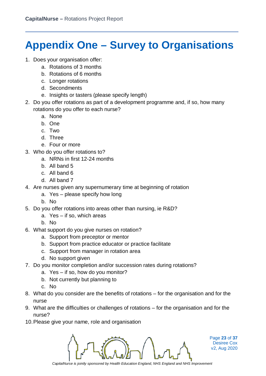# **Appendix One – Survey to Organisations**

- 1. Does your organisation offer:
	- a. Rotations of 3 months
	- b. Rotations of 6 months
	- c. Longer rotations
	- d. Secondments
	- e. Insights or tasters (please specify length)
- 2. Do you offer rotations as part of a development programme and, if so, how many rotations do you offer to each nurse?
	- a. None
	- b. One
	- c. Two
	- d. Three
	- e. Four or more
- 3. Who do you offer rotations to?
	- a. NRNs in first 12-24 months
	- b. All band 5
	- c. All band 6
	- d. All band 7
- 4. Are nurses given any supernumerary time at beginning of rotation
	- a. Yes please specify how long
	- b. No
- 5. Do you offer rotations into areas other than nursing, ie R&D?
	- a. Yes if so, which areas
	- b. No
- 6. What support do you give nurses on rotation?
	- a. Support from preceptor or mentor
	- b. Support from practice educator or practice facilitate
	- c. Support from manager in rotation area
	- d. No support given
- 7. Do you monitor completion and/or succession rates during rotations?
	- a. Yes if so, how do you monitor?
	- b. Not currently but planning to
	- c. No
- 8. What do you consider are the benefits of rotations for the organisation and for the nurse
- 9. What are the difficulties or challenges of rotations for the organisation and for the nurse?
- 10.Please give your name, role and organisation



Page **23** of **37** Desiree Cox v2, Aug 2020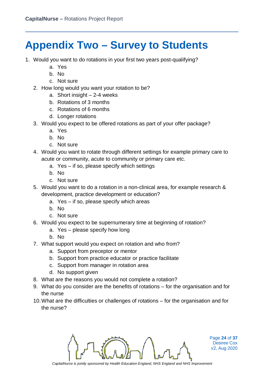# **Appendix Two – Survey to Students**

- 1. Would you want to do rotations in your first two years post-qualifying?
	- a. Yes
	- b. No
	- c. Not sure
	- 2. How long would you want your rotation to be?
		- a. Short insight  $-2-4$  weeks
		- b. Rotations of 3 months
		- c. Rotations of 6 months
		- d. Longer rotations
	- 3. Would you expect to be offered rotations as part of your offer package?
		- a. Yes
		- b. No
		- c. Not sure
	- 4. Would you want to rotate through different settings for example primary care to acute or community, acute to community or primary care etc.
		- a. Yes if so, please specify which settings
		- b. No
		- c. Not sure
	- 5. Would you want to do a rotation in a non-clinical area, for example research & development, practice development or education?
		- a. Yes if so, please specify which areas
		- b. No
		- c. Not sure
	- 6. Would you expect to be supernumerary time at beginning of rotation?
		- a. Yes please specify how long
		- b. No
	- 7. What support would you expect on rotation and who from?
		- a. Support from preceptor or mentor
		- b. Support from practice educator or practice facilitate
		- c. Support from manager in rotation area
		- d. No support given
	- 8. What are the reasons you would not complete a rotation?
	- 9. What do you consider are the benefits of rotations for the organisation and for the nurse
	- 10.What are the difficulties or challenges of rotations for the organisation and for the nurse?



Page **24** of **37** Desiree Cox v2, Aug 2020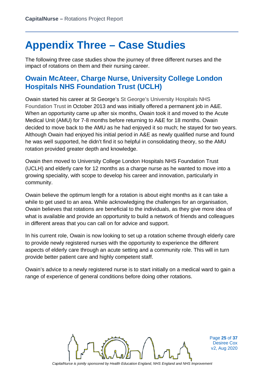### **Appendix Three – Case Studies**

The following three case studies show the journey of three different nurses and the impact of rotations on them and their nursing career.

#### **Owain McAteer, Charge Nurse, University College London Hospitals NHS Foundation Trust (UCLH)**

Owain started his career at St George's St George's University Hospitals NHS Foundation Trust in October 2013 and was initially offered a permanent job in A&E. When an opportunity came up after six months, Owain took it and moved to the Acute Medical Unit (AMU) for 7-8 months before returning to A&E for 18 months. Owain decided to move back to the AMU as he had enjoyed it so much; he stayed for two years. Although Owain had enjoyed his initial period in A&E as newly qualified nurse and found he was well supported, he didn't find it so helpful in consolidating theory, so the AMU rotation provided greater depth and knowledge.

Owain then moved to University College London Hospitals NHS Foundation Trust (UCLH) and elderly care for 12 months as a charge nurse as he wanted to move into a growing speciality, with scope to develop his career and innovation, particularly in community.

Owain believe the optimum length for a rotation is about eight months as it can take a while to get used to an area. While acknowledging the challenges for an organisation, Owain believes that rotations are beneficial to the individuals, as they give more idea of what is available and provide an opportunity to build a network of friends and colleagues in different areas that you can call on for advice and support.

In his current role, Owain is now looking to set up a rotation scheme through elderly care to provide newly registered nurses with the opportunity to experience the different aspects of elderly care through an acute setting and a community role. This will in turn provide better patient care and highly competent staff.

Owain's advice to a newly registered nurse is to start initially on a medical ward to gain a range of experience of general conditions before doing other rotations.



Page **25** of **37** Desiree Cox v2, Aug 2020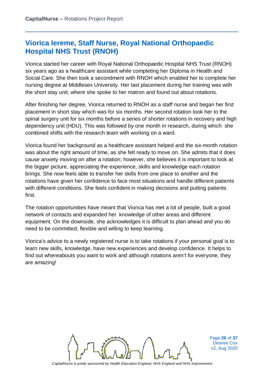### **Viorica Iereme, Staff Nurse, Royal National Orthopaedic Hospital NHS Trust (RNOH)**

Viorica started her career with Royal National Orthopaedic Hospital NHS Trust (RNOH) six years ago as a healthcare assistant while completing her Diploma in Health and Social Care. She then took a secondment with RNOH which enabled her to complete her nursing degree at Middlesex University. Her last placement during her training was with the short stay unit, where she spoke to her matron and found out about rotations.

After finishing her degree, Viorica returned to RNOH as a staff nurse and began her first placement in short stay which was for six months. Her second rotation took her to the spinal surgery unit for six months before a series of shorter rotations in recovery and high dependency unit (HDU). This was followed by one month in research, during which she combined shifts with the research team with working on a ward.

Viorica found her background as a healthcare assistant helped and the six-month rotation was about the right amount of time, as she felt ready to move on. She admits that it does cause anxiety moving on after a rotation; however, she believes it is important to look at the bigger picture, appreciating the experience, skills and knowledge each rotation brings. She now feels able to transfer her skills from one place to another and the rotations have given her confidence to face most situations and handle different patients with different conditions. She feels confident in making decisions and putting patients first.

The rotation opportunities have meant that Viorica has met a lot of people, built a good network of contacts and expanded her knowledge of other areas and different equipment. On the downside, she acknowledges it is difficult to plan ahead and you do need to be committed, flexible and willing to keep learning.

Viorica's advice to a newly registered nurse is to take rotations if your personal goal is to learn new skills, knowledge, have new experiences and develop confidence. It helps to find out whereabouts you want to work and although rotations aren't for everyone, they are amazing!



Page **26** of **37** Desiree Cox v2, Aug 2020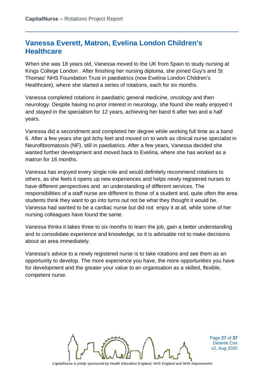### **Vanessa Everett, Matron, Evelina London Children's Healthcare**

When she was 18 years old, Vanessa moved to the UK from Spain to study nursing at Kings College London . After finishing her nursing diploma, she joined Guy's and St Thomas' NHS Foundation Trust in paediatrics (now Evelina London Children's Healthcare), where she started a series of rotations, each for six months.

Vanessa completed rotations in paediatric general medicine, oncology and then neurology. Despite having no prior interest in neurology, she found she really enjoyed it and stayed in the specialism for 12 years, achieving her band 6 after two and a half years.

Vanessa did a secondment and completed her degree while working full time as a band 6. After a few years she got itchy feet and moved on to work as clinical nurse specialist in Neurofibromatosis (NF), still in paediatrics. After a few years, Vanessa decided she wanted further development and moved back to Evelina, where she has worked as a matron for 16 months.

Vanessa has enjoyed every single role and would definitely recommend rotations to others, as she feels it opens up new experiences and helps newly registered nurses to have different perspectives and an understanding of different services. The responsibilities of a staff nurse are different to those of a student and, quite often the area students think they want to go into turns out not be what they thought it would be. Vanessa had wanted to be a cardiac nurse but did not enjoy it at all, while some of her nursing colleagues have found the same.

Vanessa thinks it takes three to six months to learn the job, gain a better understanding and to consolidate experience and knowledge, so it is advisable not to make decisions about an area immediately.

Vanessa's advice to a newly registered nurse is to take rotations and see them as an opportunity to develop. The more experience you have, the more opportunities you have for development and the greater your value to an organisation as a skilled, flexible, competent nurse.



Page **27** of **37** Desiree Cox v2, Aug 2020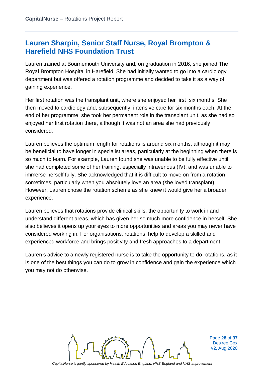### **Lauren Sharpin, Senior Staff Nurse, Royal Brompton & Harefield NHS Foundation Trust**

Lauren trained at Bournemouth University and, on graduation in 2016, she joined The Royal Brompton Hospital in Harefield. She had initially wanted to go into a cardiology department but was offered a rotation programme and decided to take it as a way of gaining experience.

Her first rotation was the transplant unit, where she enjoyed her first six months. She then moved to cardiology and, subsequently, intensive care for six months each. At the end of her programme, she took her permanent role in the transplant unit, as she had so enjoyed her first rotation there, although it was not an area she had previously considered.

Lauren believes the optimum length for rotations is around six months, although it may be beneficial to have longer in specialist areas, particularly at the beginning when there is so much to learn. For example, Lauren found she was unable to be fully effective until she had completed some of her training, especially intravenous (IV), and was unable to immerse herself fully. She acknowledged that it is difficult to move on from a rotation sometimes, particularly when you absolutely love an area (she loved transplant). However, Lauren chose the rotation scheme as she knew it would give her a broader experience.

Lauren believes that rotations provide clinical skills, the opportunity to work in and understand different areas, which has given her so much more confidence in herself. She also believes it opens up your eyes to more opportunities and areas you may never have considered working in. For organisations, rotations help to develop a skilled and experienced workforce and brings positivity and fresh approaches to a department.

Lauren's advice to a newly registered nurse is to take the opportunity to do rotations, as it is one of the best things you can do to grow in confidence and gain the experience which you may not do otherwise.



Page **28** of **37** Desiree Cox v2, Aug 2020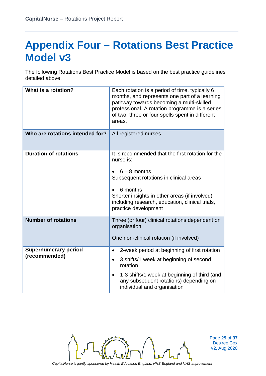### **Appendix Four – Rotations Best Practice Model v3**

The following Rotations Best Practice Model is based on the best practice guidelines detailed above.

| What is a rotation?                          | Each rotation is a period of time, typically 6<br>months, and represents one part of a learning<br>pathway towards becoming a multi-skilled<br>professional. A rotation programme is a series<br>of two, three or four spells spent in different<br>areas.         |  |
|----------------------------------------------|--------------------------------------------------------------------------------------------------------------------------------------------------------------------------------------------------------------------------------------------------------------------|--|
| Who are rotations intended for?              | All registered nurses                                                                                                                                                                                                                                              |  |
| <b>Duration of rotations</b>                 | It is recommended that the first rotation for the<br>nurse is:<br>$6 - 8$ months<br>Subsequent rotations in clinical areas<br>6 months<br>Shorter insights in other areas (if involved)<br>including research, education, clinical trials,<br>practice development |  |
| <b>Number of rotations</b>                   | Three (or four) clinical rotations dependent on<br>organisation<br>One non-clinical rotation (if involved)                                                                                                                                                         |  |
| <b>Supernumerary period</b><br>(recommended) | 2-week period at beginning of first rotation<br>$\bullet$<br>3 shifts/1 week at beginning of second<br>$\bullet$<br>rotation<br>1-3 shifts/1 week at beginning of third (and<br>$\bullet$<br>any subsequent rotations) depending on<br>individual and organisation |  |



Page **29** of **37** Desiree Cox v2, Aug 2020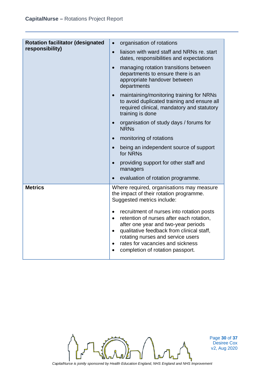| <b>Rotation facilitator (designated</b> | organisation of rotations<br>$\bullet$                                                                                                                                                                                                                                                                                        |  |
|-----------------------------------------|-------------------------------------------------------------------------------------------------------------------------------------------------------------------------------------------------------------------------------------------------------------------------------------------------------------------------------|--|
| responsibility)                         | liaison with ward staff and NRNs re. start<br>$\bullet$<br>dates, responsibilities and expectations                                                                                                                                                                                                                           |  |
|                                         | managing rotation transitions between<br>$\bullet$<br>departments to ensure there is an<br>appropriate handover between<br>departments                                                                                                                                                                                        |  |
|                                         | maintaining/monitoring training for NRNs<br>$\bullet$<br>to avoid duplicated training and ensure all<br>required clinical, mandatory and statutory<br>training is done                                                                                                                                                        |  |
|                                         | organisation of study days / forums for<br>$\bullet$<br><b>NRNs</b>                                                                                                                                                                                                                                                           |  |
|                                         | monitoring of rotations<br>$\bullet$                                                                                                                                                                                                                                                                                          |  |
|                                         | being an independent source of support<br>$\bullet$<br>for NRNs                                                                                                                                                                                                                                                               |  |
|                                         | providing support for other staff and<br>$\bullet$<br>managers                                                                                                                                                                                                                                                                |  |
|                                         | evaluation of rotation programme.<br>$\bullet$                                                                                                                                                                                                                                                                                |  |
| <b>Metrics</b>                          | Where required, organisations may measure<br>the impact of their rotation programme.<br>Suggested metrics include:                                                                                                                                                                                                            |  |
|                                         | recruitment of nurses into rotation posts<br>$\bullet$<br>retention of nurses after each rotation,<br>$\bullet$<br>after one year and two-year periods<br>qualitative feedback from clinical staff,<br>rotating nurses and service users<br>rates for vacancies and sickness<br>$\bullet$<br>completion of rotation passport. |  |



Page **30** of **37** Desiree Cox v2, Aug 2020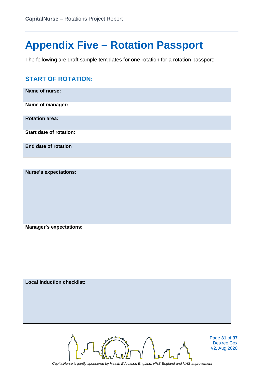### **Appendix Five – Rotation Passport**

The following are draft sample templates for one rotation for a rotation passport:

#### **START OF ROTATION:**

| Name of nurse:                 |
|--------------------------------|
| Name of manager:               |
| <b>Rotation area:</b>          |
| <b>Start date of rotation:</b> |
| <b>End date of rotation</b>    |

| <b>Nurse's expectations:</b>      |  |
|-----------------------------------|--|
|                                   |  |
|                                   |  |
|                                   |  |
|                                   |  |
|                                   |  |
|                                   |  |
| <b>Manager's expectations:</b>    |  |
|                                   |  |
|                                   |  |
|                                   |  |
|                                   |  |
|                                   |  |
|                                   |  |
| <b>Local induction checklist:</b> |  |
|                                   |  |
|                                   |  |
|                                   |  |
|                                   |  |
|                                   |  |
|                                   |  |
|                                   |  |



Page **31** of **37** Desiree Cox v2, Aug 2020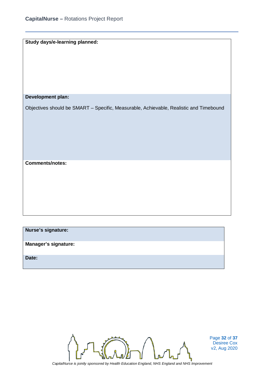|  |  |  |  | Study days/e-learning planned: |
|--|--|--|--|--------------------------------|
|--|--|--|--|--------------------------------|

#### **Development plan:**

Objectives should be SMART – Specific, Measurable, Achievable, Realistic and Timebound

**Comments/notes:**

**Nurse's signature: Manager's signature: Date:**



Page **32** of **37** Desiree Cox v2, Aug 2020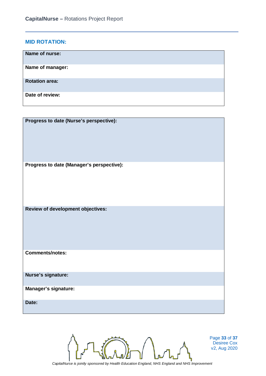#### **MID ROTATION:**

| Name of nurse:        |
|-----------------------|
| Name of manager:      |
| <b>Rotation area:</b> |
| Date of review:       |

**Progress to date (Nurse's perspective): Progress to date (Manager's perspective): Review of development objectives: Comments/notes: Nurse's signature: Manager's signature: Date:**



Page **33** of **37** Desiree Cox v2, Aug 2020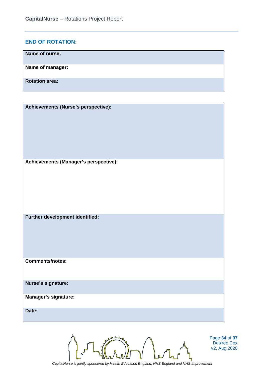#### **END OF ROTATION:**

| Name of nurse:        |
|-----------------------|
| Name of manager:      |
| <b>Rotation area:</b> |

| Achievements (Nurse's perspective):   |
|---------------------------------------|
| Achievements (Manager's perspective): |
| Further development identified:       |
| <b>Comments/notes:</b>                |
| Nurse's signature:                    |
| Manager's signature:                  |
| Date:                                 |
|                                       |



Page **34** of **37** Desiree Cox v2, Aug 2020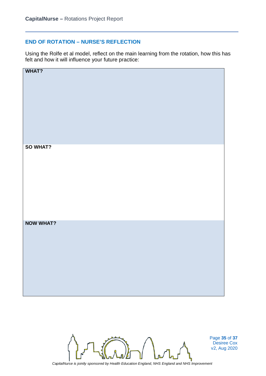#### **END OF ROTATION – NURSE'S REFLECTION**

Using the Rolfe et al model, reflect on the main learning from the rotation, how this has felt and how it will influence your future practice:



Page **35** of **37** Desiree Cox v2, Aug 2020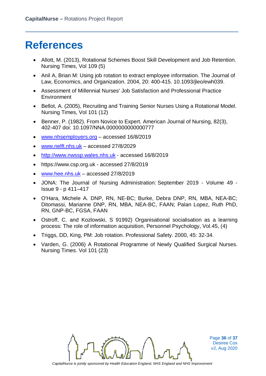### **References**

- Allott, M. (2013), Rotational Schemes Boost Skill Development and Job Retention. Nursing Times, Vol 109 (5)
- Anil A, Brian M: Using job rotation to extract employee information. The Journal of Law, Economics, and Organization. 2004, 20: 400-415. 10.1093/jleo/ewh039.
- Assessment of Millennial Nurses' Job Satisfaction and Professional Practice **Environment**
- Bellot, A. (2005), Recruiting and Training Senior Nurses Using a Rotational Model. Nursing Times, Vol 101 (12)
- Benner, P. (1982). From Novice to Expert. American Journal of Nursing, 82(3), 402-407 doi: 10.1097/NNA.0000000000000777
- [www.nhsemployers.org](http://www.nhsemployers.org/) accessed 16/8/2019
- [www.nelft.nhs.uk](http://www.nelft.nhs.uk/) accessed 27/8/2029
- [http://www.nwssp.wales.nhs.uk](http://www.nwssp.wales.nhs.uk/) accessed 16/8/2019
- https://www.csp.org.uk accessed 27/8/2019
- [www.hee.nhs.uk](http://www.hee.nhs.uk/) accessed 27/8/2019
- JONA: The Journal of Nursing Administration: [September 2019 -](https://journals.lww.com/jonajournal/toc/2019/09000) Volume 49 Issue 9 - [p 411–417](https://journals.lww.com/jonajournal/toc/2019/09000)
- O'Hara, Michele A. DNP, RN, NE-BC; Burke, Debra DNP, RN, MBA, NEA-BC; Ditomassi, Marianne DNP, RN, MBA, NEA-BC, FAAN; Palan Lopez, Ruth PhD, RN, GNP-BC, FGSA, FAAN
- Ostroff, C. and Kozlowski, S 91992) Organisational socialisation as a learning process: The role of information acquisition, Personnel Psychology, Vol.45, (4)
- Triggs, DD, King, PM: Job rotation. Professional Safety. 2000, 45: 32-34.
- Varden, G. (2006) A Rotational Programme of Newly Qualified Surgical Nurses. Nursing Times. Vol 101 (23)



Page **36** of **37** Desiree Cox v2, Aug 2020